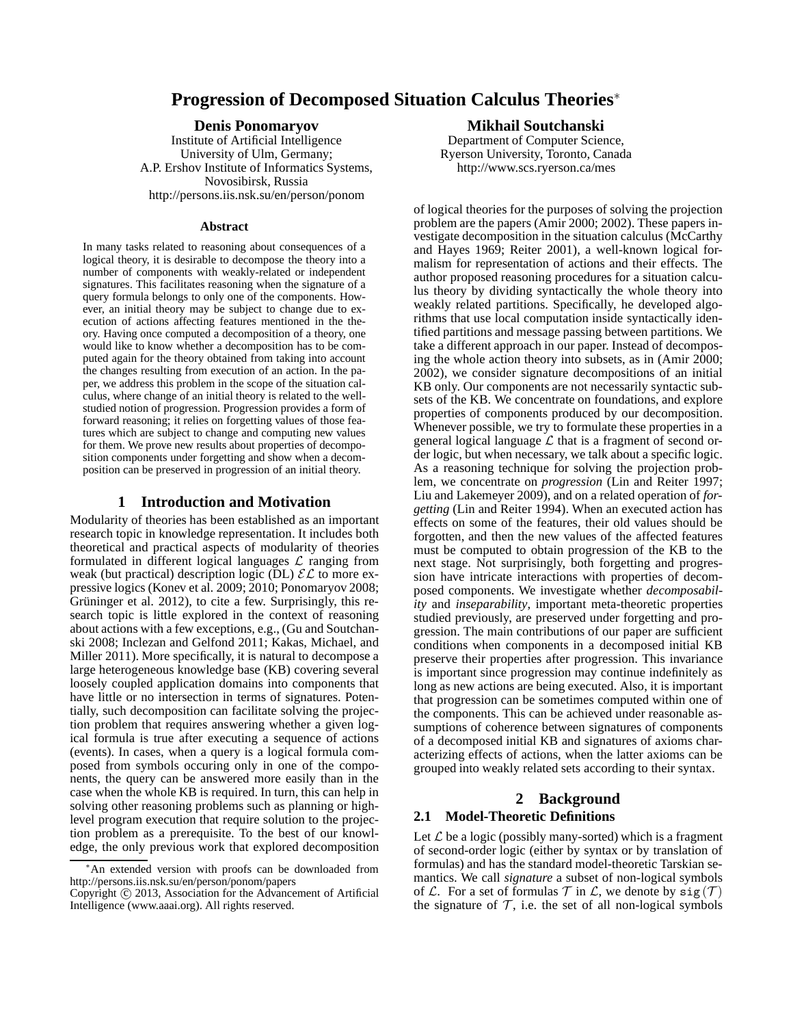# **Progression of Decomposed Situation Calculus Theories**<sup>∗</sup>

#### **Denis Ponomaryov**

Institute of Artificial Intelligence University of Ulm, Germany; A.P. Ershov Institute of Informatics Systems, Novosibirsk, Russia http://persons.iis.nsk.su/en/person/ponom

#### **Abstract**

In many tasks related to reasoning about consequences of a logical theory, it is desirable to decompose the theory into a number of components with weakly-related or independent signatures. This facilitates reasoning when the signature of a query formula belongs to only one of the components. However, an initial theory may be subject to change due to execution of actions affecting features mentioned in the theory. Having once computed a decomposition of a theory, one would like to know whether a decomposition has to be computed again for the theory obtained from taking into account the changes resulting from execution of an action. In the paper, we address this problem in the scope of the situation calculus, where change of an initial theory is related to the wellstudied notion of progression. Progression provides a form of forward reasoning; it relies on forgetting values of those features which are subject to change and computing new values for them. We prove new results about properties of decomposition components under forgetting and show when a decomposition can be preserved in progression of an initial theory.

### **1 Introduction and Motivation**

Modularity of theories has been established as an important research topic in knowledge representation. It includes both theoretical and practical aspects of modularity of theories formulated in different logical languages  $\mathcal L$  ranging from weak (but practical) description logic (DL)  $\mathcal{EL}$  to more expressive logics (Konev et al. 2009; 2010; Ponomaryov 2008; Grüninger et al. 2012), to cite a few. Surprisingly, this research topic is little explored in the context of reasoning about actions with a few exceptions, e.g., (Gu and Soutchanski 2008; Inclezan and Gelfond 2011; Kakas, Michael, and Miller 2011). More specifically, it is natural to decompose a large heterogeneous knowledge base (KB) covering several loosely coupled application domains into components that have little or no intersection in terms of signatures. Potentially, such decomposition can facilitate solving the projection problem that requires answering whether a given logical formula is true after executing a sequence of actions (events). In cases, when a query is a logical formula composed from symbols occuring only in one of the components, the query can be answered more easily than in the case when the whole KB is required. In turn, this can help in solving other reasoning problems such as planning or highlevel program execution that require solution to the projection problem as a prerequisite. To the best of our knowledge, the only previous work that explored decomposition

#### **Mikhail Soutchanski**

Department of Computer Science, Ryerson University, Toronto, Canada http://www.scs.ryerson.ca/mes

of logical theories for the purposes of solving the projection problem are the papers (Amir 2000; 2002). These papers investigate decomposition in the situation calculus (McCarthy and Hayes 1969; Reiter 2001), a well-known logical formalism for representation of actions and their effects. The author proposed reasoning procedures for a situation calculus theory by dividing syntactically the whole theory into weakly related partitions. Specifically, he developed algorithms that use local computation inside syntactically identified partitions and message passing between partitions. We take a different approach in our paper. Instead of decomposing the whole action theory into subsets, as in (Amir 2000; 2002), we consider signature decompositions of an initial KB only. Our components are not necessarily syntactic subsets of the KB. We concentrate on foundations, and explore properties of components produced by our decomposition. Whenever possible, we try to formulate these properties in a general logical language  $\mathcal L$  that is a fragment of second order logic, but when necessary, we talk about a specific logic. As a reasoning technique for solving the projection problem, we concentrate on *progression* (Lin and Reiter 1997; Liu and Lakemeyer 2009), and on a related operation of *forgetting* (Lin and Reiter 1994). When an executed action has effects on some of the features, their old values should be forgotten, and then the new values of the affected features must be computed to obtain progression of the KB to the next stage. Not surprisingly, both forgetting and progression have intricate interactions with properties of decomposed components. We investigate whether *decomposability* and *inseparability*, important meta-theoretic properties studied previously, are preserved under forgetting and progression. The main contributions of our paper are sufficient conditions when components in a decomposed initial KB preserve their properties after progression. This invariance is important since progression may continue indefinitely as long as new actions are being executed. Also, it is important that progression can be sometimes computed within one of the components. This can be achieved under reasonable assumptions of coherence between signatures of components of a decomposed initial KB and signatures of axioms characterizing effects of actions, when the latter axioms can be grouped into weakly related sets according to their syntax.

# **2 Background**

#### **2.1 Model-Theoretic Definitions**

Let  $\mathcal L$  be a logic (possibly many-sorted) which is a fragment of second-order logic (either by syntax or by translation of formulas) and has the standard model-theoretic Tarskian semantics. We call *signature* a subset of non-logical symbols of L. For a set of formulas  $T$  in L, we denote by  $sig(T)$ the signature of  $\mathcal T$ , i.e. the set of all non-logical symbols

An extended version with proofs can be downloaded from http://persons.iis.nsk.su/en/person/ponom/papers

Copyright (c) 2013, Association for the Advancement of Artificial Intelligence (www.aaai.org). All rights reserved.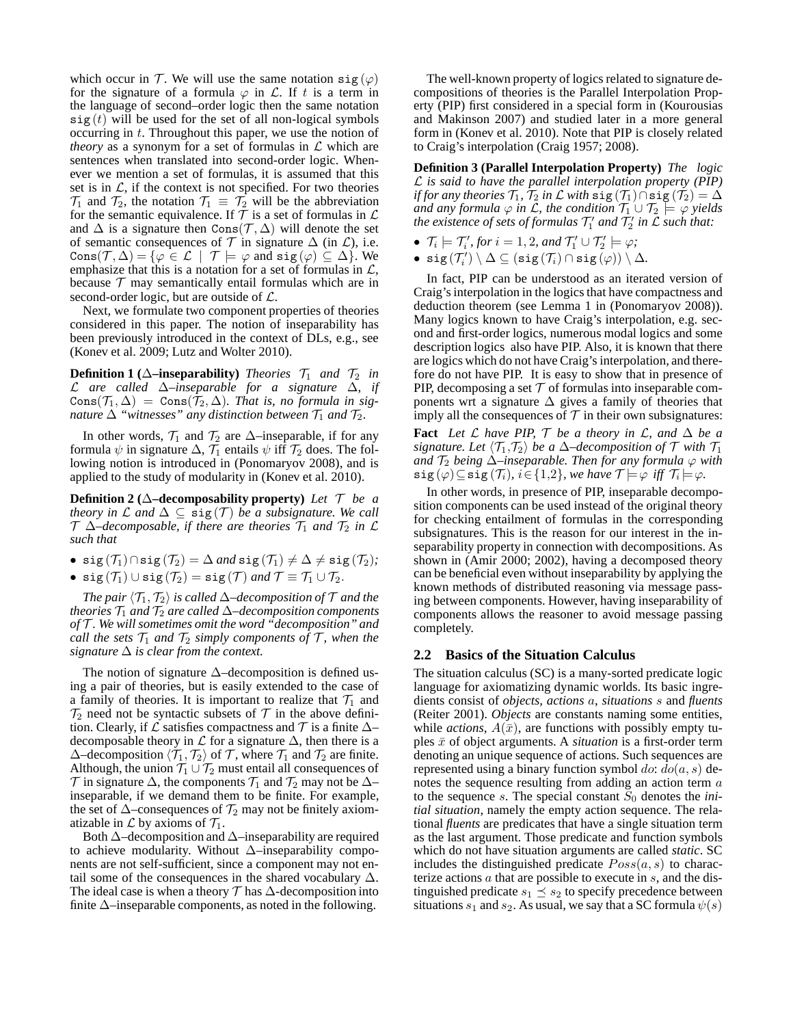which occur in T. We will use the same notation  $sig(\varphi)$ for the signature of a formula  $\varphi$  in  $\mathcal{L}$ . If t is a term in the language of second–order logic then the same notation  $sig(t)$  will be used for the set of all non-logical symbols occurring in t. Throughout this paper, we use the notion of *theory* as a synonym for a set of formulas in  $\mathcal L$  which are sentences when translated into second-order logic. Whenever we mention a set of formulas, it is assumed that this set is in  $\mathcal{L}$ , if the context is not specified. For two theories  $\mathcal{T}_1$  and  $\mathcal{T}_2$ , the notation  $\mathcal{T}_1 \equiv \mathcal{T}_2$  will be the abbreviation for the semantic equivalence. If  $T$  is a set of formulas in  $\mathcal L$ and  $\Delta$  is a signature then Cons $(\mathcal{T}, \Delta)$  will denote the set of semantic consequences of  $\mathcal T$  in signature  $\Delta$  (in  $\mathcal L$ ), i.e. Cons $(\mathcal{T}, \Delta) = \{ \varphi \in \mathcal{L} \mid \mathcal{T} \models \varphi \text{ and } \text{sig}(\varphi) \subseteq \Delta \}.$  We emphasize that this is a notation for a set of formulas in  $\mathcal{L}$ , because  $T$  may semantically entail formulas which are in second-order logic, but are outside of  $\mathcal{L}$ .

Next, we formulate two component properties of theories considered in this paper. The notion of inseparability has been previously introduced in the context of DLs, e.g., see (Konev et al. 2009; Lutz and Wolter 2010).

**Definition 1** ( $\Delta$ –**inseparability**) *Theories*  $\mathcal{T}_1$  *and*  $\mathcal{T}_2$  *in* L *are called* ∆*–inseparable for a signature* ∆*, if*  $\text{Cons}(\mathcal{T}_1, \Delta) = \text{Cons}(\mathcal{T}_2, \Delta)$ *. That is, no formula in signature*  $\Delta$  "witnesses" any distinction between  $\mathcal{T}_1$  and  $\mathcal{T}_2$ .

In other words,  $\mathcal{T}_1$  and  $\mathcal{T}_2$  are  $\Delta$ –inseparable, if for any formula  $\psi$  in signature  $\Delta$ ,  $\mathcal{T}_1$  entails  $\psi$  iff  $\mathcal{T}_2$  does. The following notion is introduced in (Ponomaryov 2008), and is applied to the study of modularity in (Konev et al. 2010).

**Definition 2** ( $\Delta$ –decomposability property) *Let*  $\mathcal{T}$  *be a theory in*  $\mathcal L$  *and*  $\Delta \subseteq \text{sig}(\mathcal T)$  *be a subsignature. We call*  $T \Delta$ –decomposable, if there are theories  $T_1$  and  $T_2$  in  $\mathcal L$ *such that*

- sig( $\mathcal{T}_1$ )∩sig( $\mathcal{T}_2$ ) =  $\Delta$  *and* sig( $\mathcal{T}_1$ )  $\neq \Delta \neq$  sig( $\mathcal{T}_2$ )*;*
- $\operatorname{sig}(\mathcal{T}_1) \cup \operatorname{sig}(\mathcal{T}_2) = \operatorname{sig}(\mathcal{T})$  *and*  $\mathcal{T} \equiv \mathcal{T}_1 \cup \mathcal{T}_2$ .

*The pair*  $\langle T_1, T_2 \rangle$  *is called* ∆–*decomposition of*  $T$  *and the theories*  $\mathcal{T}_1$  *and*  $\mathcal{T}_2$  *are called*  $\Delta$ –*decomposition components of* T *. We will sometimes omit the word "decomposition" and call the sets*  $\mathcal{T}_1$  *and*  $\mathcal{T}_2$  *simply components of*  $\mathcal{T}$ *, when the signature* ∆ *is clear from the context.*

The notion of signature  $\Delta$ –decomposition is defined using a pair of theories, but is easily extended to the case of a family of theories. It is important to realize that  $\mathcal{T}_1$  and  $\mathcal{T}_2$  need not be syntactic subsets of  $\mathcal{T}$  in the above definition. Clearly, if  $\mathcal L$  satisfies compactness and  $\mathcal T$  is a finite  $\Delta$ – decomposable theory in  $\mathcal L$  for a signature  $\Delta$ , then there is a  $\Delta$ –decomposition  $\langle \mathcal{T}_1, \mathcal{T}_2 \rangle$  of  $\mathcal{T}$ , where  $\mathcal{T}_1$  and  $\mathcal{T}_2$  are finite. Although, the union  $\mathcal{T}_1 \cup \mathcal{T}_2$  must entail all consequences of  $\mathcal T$  in signature  $\Delta$ , the components  $\mathcal T_1$  and  $\mathcal T_2$  may not be  $\Delta$ inseparable, if we demand them to be finite. For example, the set of  $\Delta$ –consequences of  $\mathcal{T}_2$  may not be finitely axiomatizable in  $\mathcal L$  by axioms of  $\mathcal T_1$ .

Both ∆–decomposition and ∆–inseparability are required to achieve modularity. Without ∆–inseparability components are not self-sufficient, since a component may not entail some of the consequences in the shared vocabulary  $\Delta$ . The ideal case is when a theory  $\mathcal T$  has  $\Delta$ -decomposition into finite  $\Delta$ –inseparable components, as noted in the following.

The well-known property of logics related to signature decompositions of theories is the Parallel Interpolation Property (PIP) first considered in a special form in (Kourousias and Makinson 2007) and studied later in a more general form in (Konev et al. 2010). Note that PIP is closely related to Craig's interpolation (Craig 1957; 2008).

**Definition 3 (Parallel Interpolation Property)** *The logic* L *is said to have the parallel interpolation property (PIP) if for any theories*  $\mathcal{T}_1$ *,*  $\mathcal{T}_2$  *in*  $\mathcal{L}$  *with*  $\text{sig}(\mathcal{T}_1) \cap \text{sig}(\mathcal{T}_2) = \Delta$ *and any formula*  $\varphi$  *in L, the condition*  $\mathcal{T}_1 \cup \mathcal{T}_2 \models \varphi$  *yields the existence of sets of formulas*  $\mathcal{T}'_1$  *and*  $\mathcal{T}'_2$  *in*  $\tilde{\mathcal{L}}$  *such that:* 

- $\mathcal{T}_i \models \mathcal{T}'_i$ , for  $i = 1, 2$ , and  $\mathcal{T}'_1 \cup \mathcal{T}'_2 \models \varphi$ ;
- $\bullet \ \texttt{sig}(\mathcal{T}'_i) \setminus \Delta \subseteq (\texttt{sig}(\mathcal{T}_i) \cap \texttt{sig}(\varphi)) \setminus \Delta.$

In fact, PIP can be understood as an iterated version of Craig's interpolation in the logics that have compactness and deduction theorem (see Lemma 1 in (Ponomaryov 2008)). Many logics known to have Craig's interpolation, e.g. second and first-order logics, numerous modal logics and some description logics also have PIP. Also, it is known that there are logics which do not have Craig's interpolation, and therefore do not have PIP. It is easy to show that in presence of PIP, decomposing a set  $T$  of formulas into inseparable components wrt a signature  $\Delta$  gives a family of theories that imply all the consequences of  $\mathcal T$  in their own subsignatures:

Fact *Let*  $\mathcal L$  *have PIP,*  $\mathcal T$  *be a theory in*  $\mathcal L$ *, and*  $\Delta$  *be a signature. Let*  $\langle T_1, T_2 \rangle$  *be a*  $\Delta$ *–decomposition of*  $T$  *with*  $T_1$ *and*  $\mathcal{T}_2$  *being*  $\Delta$ –*inseparable. Then for any formula*  $\varphi$  *with*  $\texttt{sig}(\varphi) \mathop{\subseteq} \texttt{sig}(\mathcal{T}_i)$ ,  $i \in \{1,2\}$ , we have  $\mathcal{T} \models \varphi$  iff  $\mathcal{T}_i \models \varphi$ .

In other words, in presence of PIP, inseparable decomposition components can be used instead of the original theory for checking entailment of formulas in the corresponding subsignatures. This is the reason for our interest in the inseparability property in connection with decompositions. As shown in (Amir 2000; 2002), having a decomposed theory can be beneficial even without inseparability by applying the known methods of distributed reasoning via message passing between components. However, having inseparability of components allows the reasoner to avoid message passing completely.

# **2.2 Basics of the Situation Calculus**

The situation calculus (SC) is a many-sorted predicate logic language for axiomatizing dynamic worlds. Its basic ingredients consist of *objects*, *actions* a, *situations* s and *fluents* (Reiter 2001). *Objects* are constants naming some entities, while *actions*,  $A(\bar{x})$ , are functions with possibly empty tuples  $\bar{x}$  of object arguments. A *situation* is a first-order term denoting an unique sequence of actions. Such sequences are represented using a binary function symbol do:  $do(a, s)$  denotes the sequence resulting from adding an action term a to the sequence s. The special constant  $S_0$  denotes the *initial situation*, namely the empty action sequence. The relational *fluents* are predicates that have a single situation term as the last argument. Those predicate and function symbols which do not have situation arguments are called *static*. SC includes the distinguished predicate  $Poss(a, s)$  to characterize actions  $\alpha$  that are possible to execute in  $\alpha$ , and the distinguished predicate  $s_1 \preceq s_2$  to specify precedence between situations  $s_1$  and  $s_2$ . As usual, we say that a SC formula  $\psi(s)$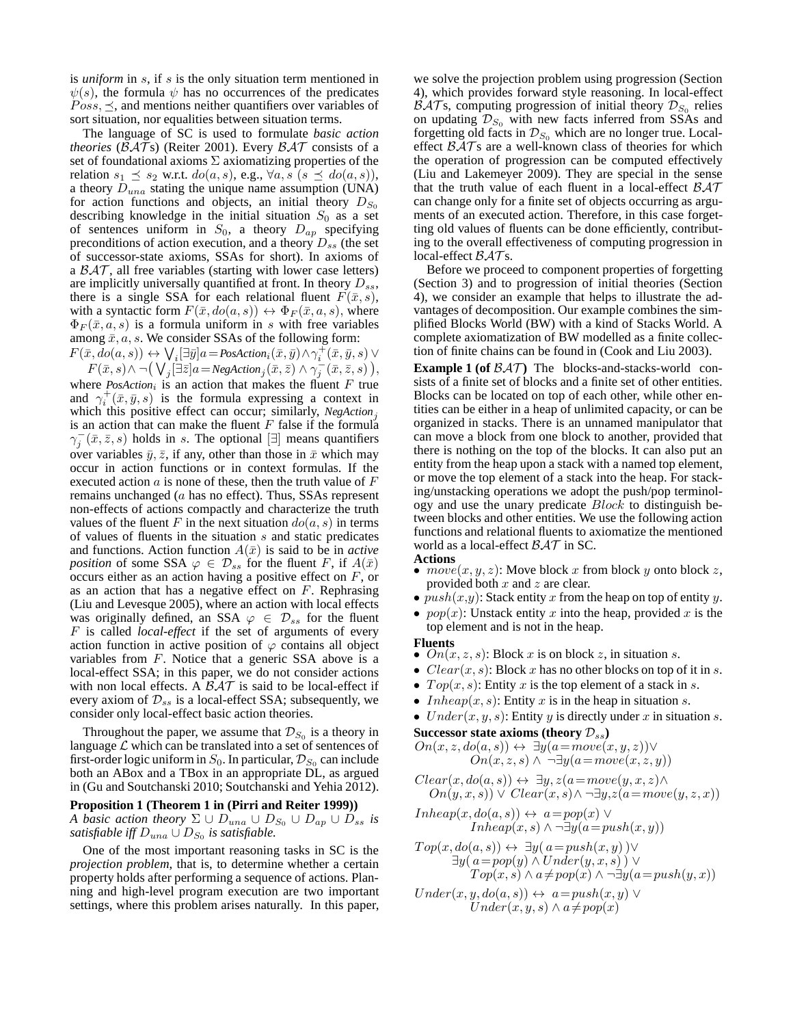is *uniform* in s, if s is the only situation term mentioned in  $\psi(s)$ , the formula  $\psi$  has no occurrences of the predicates  $Poss, \leq$ , and mentions neither quantifiers over variables of sort situation, nor equalities between situation terms.

The language of SC is used to formulate *basic action theories* ( $\beta \mathcal{A} \mathcal{T}$ s) (Reiter 2001). Every  $\beta \mathcal{A} \mathcal{T}$  consists of a set of foundational axioms  $\Sigma$  axiomatizing properties of the relation  $s_1 \preceq s_2$  w.r.t.  $do(a, s)$ , e.g.,  $\forall a, s \ (s \preceq do(a, s))$ , a theory  $D_{una}$  stating the unique name assumption (UNA) for action functions and objects, an initial theory  $D_{S_0}$ describing knowledge in the initial situation  $S_0$  as a set of sentences uniform in  $S_0$ , a theory  $D_{ap}$  specifying preconditions of action execution, and a theory  $D_{ss}$  (the set of successor-state axioms, SSAs for short). In axioms of a  $\beta \mathcal{A} \mathcal{T}$ , all free variables (starting with lower case letters) are implicitly universally quantified at front. In theory  $D_{ss}$ , there is a single SSA for each relational fluent  $F(\bar{x}, s)$ , with a syntactic form  $F(\bar{x}, do(a, s)) \leftrightarrow \Phi_F(\bar{x}, a, s)$ , where  $\Phi_F(\bar{x}, a, s)$  is a formula uniform in s with free variables among  $\bar{x}$ , a, s. We consider SSAs of the following form:

 $F(\bar{x},do(a,s)) \leftrightarrow \bigvee_i [\exists \bar{y}] a = \textit{PosAction}_i(\bar{x}, \bar{y}) \land \gamma_i^+(\bar{x}, \bar{y}, s) \vee$  $F(\bar{x}, s) \wedge \neg \big( \bigvee_j [\exists \bar{z}] a = NegAction_j(\bar{x}, \bar{z}) \wedge \gamma_j^-(\bar{x}, \bar{z}, s) \big),$ 

where  $PosAction_i$  is an action that makes the fluent  $F$  true and  $\gamma_i^+(\bar{x}, \bar{y}, s)$  is the formula expressing a context in which this positive effect can occur; similarly, *NegAction*<sub>j</sub> is an action that can make the fluent  $F$  false if the formula  $\gamma_j^-(\bar{x}, \bar{z}, s)$  holds in s. The optional  $[\exists]$  means quantifiers over variables  $\bar{y}, \bar{z}$ , if any, other than those in  $\bar{x}$  which may occur in action functions or in context formulas. If the executed action  $\alpha$  is none of these, then the truth value of  $F$ remains unchanged (a has no effect). Thus, SSAs represent non-effects of actions compactly and characterize the truth values of the fluent F in the next situation  $do(a, s)$  in terms of values of fluents in the situation s and static predicates and functions. Action function  $A(\bar{x})$  is said to be in *active position* of some SSA  $\varphi \in \mathcal{D}_{ss}$  for the fluent F, if  $A(\bar{x})$ occurs either as an action having a positive effect on F, or as an action that has a negative effect on  $F$ . Rephrasing (Liu and Levesque 2005), where an action with local effects was originally defined, an SSA  $\varphi \in \mathcal{D}_{ss}$  for the fluent F is called *local-effect* if the set of arguments of every action function in active position of  $\varphi$  contains all object variables from F. Notice that a generic SSA above is a local-effect SSA; in this paper, we do not consider actions with non local effects. A  $\beta \mathcal{A} \mathcal{T}$  is said to be local-effect if every axiom of  $\mathcal{D}_{ss}$  is a local-effect SSA; subsequently, we consider only local-effect basic action theories.

Throughout the paper, we assume that  $\mathcal{D}_{S_0}$  is a theory in language  $\mathcal L$  which can be translated into a set of sentences of first-order logic uniform in  $S_0$ . In particular,  $\mathcal{D}_{S_0}$  can include both an ABox and a TBox in an appropriate DL, as argued in (Gu and Soutchanski 2010; Soutchanski and Yehia 2012).

### **Proposition 1 (Theorem 1 in (Pirri and Reiter 1999))**

*A basic action theory*  $\Sigma \cup D_{una} \cup D_{S_0} \cup D_{ap} \cup D_{ss}$  *is satisfiable iff*  $D_{una} \cup D_{S_0}$  *is satisfiable.* 

One of the most important reasoning tasks in SC is the *projection problem*, that is, to determine whether a certain property holds after performing a sequence of actions. Planning and high-level program execution are two important settings, where this problem arises naturally. In this paper,

we solve the projection problem using progression (Section 4), which provides forward style reasoning. In local-effect  $\mathcal{BAT}$ s, computing progression of initial theory  $\mathcal{D}_{S_0}$  relies on updating  $\mathcal{D}_{S_0}$  with new facts inferred from SSAs and forgetting old facts in  $\mathcal{D}_{S_0}$  which are no longer true. Localeffect  $\beta \mathcal{A} \mathcal{T}$ s are a well-known class of theories for which the operation of progression can be computed effectively (Liu and Lakemeyer 2009). They are special in the sense that the truth value of each fluent in a local-effect  $\beta \mathcal{A} \mathcal{T}$ can change only for a finite set of objects occurring as arguments of an executed action. Therefore, in this case forgetting old values of fluents can be done efficiently, contributing to the overall effectiveness of computing progression in local-effect  $\beta \mathcal{A} \mathcal{T}$ s.

Before we proceed to component properties of forgetting (Section 3) and to progression of initial theories (Section 4), we consider an example that helps to illustrate the advantages of decomposition. Our example combines the simplified Blocks World (BW) with a kind of Stacks World. A complete axiomatization of BW modelled as a finite collection of finite chains can be found in (Cook and Liu 2003).

**Example 1 (of**  $\beta \mathcal{A} \mathcal{T}$ **) The blocks-and-stacks-world con**sists of a finite set of blocks and a finite set of other entities. Blocks can be located on top of each other, while other entities can be either in a heap of unlimited capacity, or can be organized in stacks. There is an unnamed manipulator that can move a block from one block to another, provided that there is nothing on the top of the blocks. It can also put an entity from the heap upon a stack with a named top element, or move the top element of a stack into the heap. For stacking/unstacking operations we adopt the push/pop terminology and use the unary predicate Block to distinguish between blocks and other entities. We use the following action functions and relational fluents to axiomatize the mentioned world as a local-effect  $\beta \mathcal{A} \mathcal{T}$  in SC.

- **Actions**  $move(x, y, z)$ : Move block x from block y onto block z, provided both  $x$  and  $z$  are clear.
- $push(x,y)$ : Stack entity x from the heap on top of entity y.
- $pop(x)$ : Unstack entity x into the heap, provided x is the top element and is not in the heap.

#### **Fluents**

- $\overline{On}(x, z, s)$ : Block x is on block z, in situation s.
- $Clear(x, s)$ : Block x has no other blocks on top of it in s.
- $Top(x, s)$ : Entity x is the top element of a stack in s.
- *Inheap* $(x, s)$ : Entity x is in the heap in situation s.
- $Under(x, y, s)$ : Entity y is directly under x in situation s.

**Successor state axioms (theory**  $\mathcal{D}_{ss}$ **)** 

$$
On(x, z, do(a, s)) \leftrightarrow \exists y (a = move(x, y, z)) \veeOn(x, z, s) \wedge \neg \exists y (a = move(x, z, y))
$$

$$
Clear(x, do(a, s)) \leftrightarrow \exists y, z(a=move(y, x, z) \land On(y, x, s)) \lor Clear(x, s) \land \neg \exists y, z(a=move(y, z, x))
$$

 $Inheap(x, do(a, s)) \leftrightarrow a = pop(x) \vee$ *Inheap* $(x, s)$  ∧  $\neg \exists y (a = push(x, y))$ 

$$
\begin{array}{l} Top(x,do(a,s)) \leftrightarrow \exists y (\,a = push(x,y) \,)\vee \\ \exists y (\,a = pop(y) \wedge Under(y,x,s) \,)\vee \\ Top(x,s) \wedge a \neq pop(x) \wedge \neg \exists y (a = push(y,x)) \end{array}
$$

$$
Under(x, y, do(a, s)) \leftrightarrow a = push(x, y) \vee
$$
  

$$
Under(x, y, s) \wedge a \neq pop(x)
$$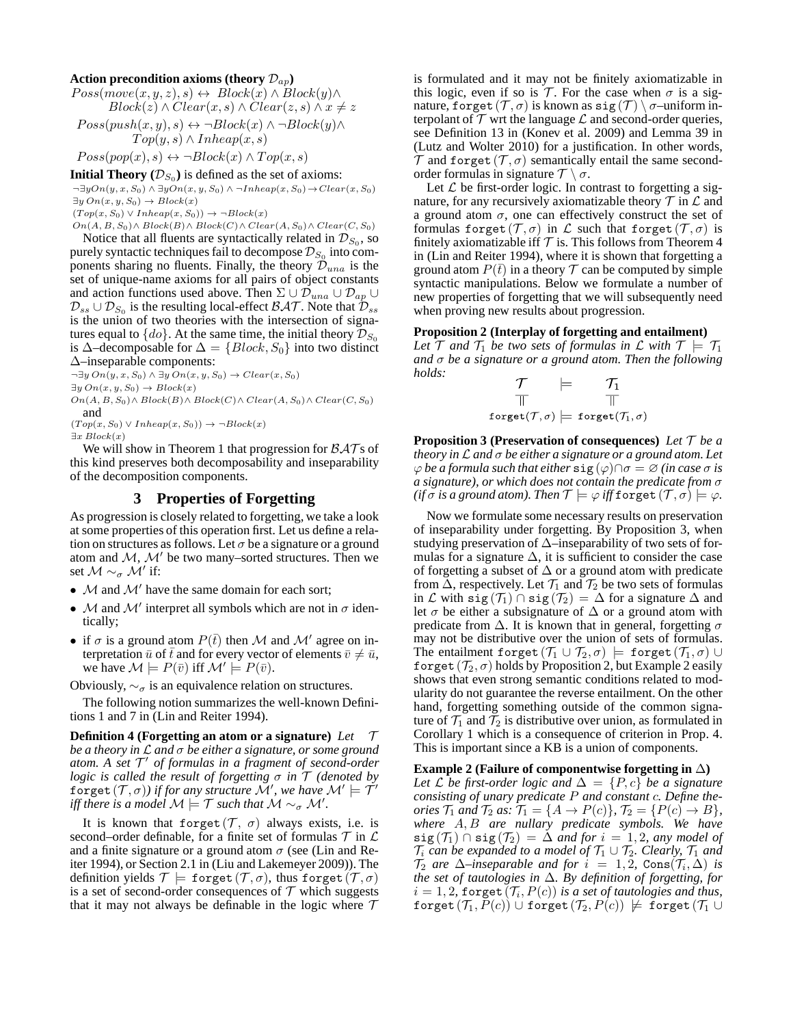### Action precondition axioms (theory  $\mathcal{D}_{ap}$ )

 $Poss(move(x, y, z), s) \leftrightarrow Block(x) \wedge Block(y) \wedge$  $Block(z) \wedge Clear(x, s) \wedge Clear(z, s) \wedge x \neq z$ 

$$
Poss(push(x, y), s) \leftrightarrow \neg Block(x) \land \neg Block(y) \landTop(y, s) \land Inheap(x, s)
$$

 $Poss(pop(x), s) \leftrightarrow \neg Block(x) \wedge Top(x, s)$ 

**Initial Theory**  $(\mathcal{D}_{S_0})$  is defined as the set of axioms:

 $\neg \exists y On(y, x, S_0) \land \exists y On(x, y, S_0) \land \neg Inheap(x, S_0) \rightarrow Clear(x, S_0)$  $\exists y \, On(x, y, S_0) \rightarrow Block(x)$ 

 $(T \circ p(x, S_0) \vee Inheap(x, S_0)) \rightarrow \neg Block(x)$ 

 $On(A, B, S_0) \wedge Block(B) \wedge Block(C) \wedge Clear(A, S_0) \wedge Clear(C, S_0)$ 

Notice that all fluents are syntactically related in  $\mathcal{D}_{S_0}$ , so purely syntactic techniques fail to decompose  $\mathcal{D}_{S_0}$  into components sharing no fluents. Finally, the theory  $\mathcal{D}_{una}$  is the set of unique-name axioms for all pairs of object constants and action functions used above. Then  $\Sigma \cup \mathcal{D}_{una} \cup \mathcal{D}_{ap} \cup$  $\mathcal{D}_{ss} \cup \mathcal{D}_{S_0}$  is the resulting local-effect  $\mathcal{BAT}.$  Note that  $\mathcal{\bar{D}}_{ss}$ is the union of two theories with the intersection of signatures equal to  $\{do\}$ . At the same time, the initial theory  $\mathcal{D}_{S_0}$ is ∆–decomposable for  $\Delta = \{Block, S_0\}$  into two distinct ∆–inseparable components:

 $\neg \exists y \, On(y, x, S_0) \land \exists y \, On(x, y, S_0) \rightarrow Clear(x, S_0)$  $\exists y \, On(x, y, S_0) \rightarrow Block(x)$  $On(A, B, S_0) \wedge Block(B) \wedge Block(C) \wedge Clear(A, S_0) \wedge Clear(C, S_0)$ and

- $(T \circ p(x, S_0) \vee Inheap(x, S_0)) \rightarrow \neg Block(x)$
- $\exists x \ Block(x)$

We will show in Theorem 1 that progression for  $\beta \mathcal{A} \mathcal{T}$  s of this kind preserves both decomposability and inseparability of the decomposition components.

# **3 Properties of Forgetting**

As progression is closely related to forgetting, we take a look at some properties of this operation first. Let us define a relation on structures as follows. Let  $\sigma$  be a signature or a ground atom and  $M$ ,  $M'$  be two many–sorted structures. Then we set  $\mathcal{M} \sim_{\sigma} \mathcal{M}'$  if:

- $M$  and  $M'$  have the same domain for each sort;
- $M$  and  $M'$  interpret all symbols which are not in  $\sigma$  identically;
- if  $\sigma$  is a ground atom  $P(\bar{t})$  then M and M' agree on interpretation  $\bar{u}$  of  $\bar{t}$  and for every vector of elements  $\bar{v} \neq \bar{u}$ , we have  $\mathcal{M} \models P(\bar{v})$  iff  $\mathcal{M}' \models P(\bar{v})$ .

Obviously,  $\sim_{\sigma}$  is an equivalence relation on structures.

The following notion summarizes the well-known Definitions 1 and 7 in (Lin and Reiter 1994).

**Definition 4 (Forgetting an atom or a signature)** *Let* T *be a theory in* L *and* σ *be either a signature, or some ground atom. A set* T ′ *of formulas in a fragment of second-order logic is called the result of forgetting* σ *in* T *(denoted by*  $\widetilde{\mathrm{forget}}\,(\mathcal{T},\sigma))$  if for any structure  $\mathcal{M}',$  we have  $\mathcal{M}'\models \check{\mathcal{T}'}$ *iff there is a model*  $\mathcal{M} \models \mathcal{T}$  *such that*  $\mathcal{M} \sim_{\sigma} \mathcal{M}'$ .

It is known that forget  $(\mathcal{T}, \sigma)$  always exists, i.e. is second–order definable, for a finite set of formulas  $\mathcal T$  in  $\mathcal L$ and a finite signature or a ground atom  $\sigma$  (see (Lin and Reiter 1994), or Section 2.1 in (Liu and Lakemeyer 2009)). The definition yields  $\mathcal{T} \models$  forget  $(\mathcal{T}, \sigma)$ , thus forget  $(\mathcal{T}, \sigma)$ is a set of second-order consequences of  $\mathcal T$  which suggests that it may not always be definable in the logic where  $\mathcal T$  is formulated and it may not be finitely axiomatizable in this logic, even if so is  $\mathcal T$ . For the case when  $\sigma$  is a signature, forget  $(\mathcal{T}, \sigma)$  is known as sig  $(\mathcal{T}) \setminus \sigma$ -uniform interpolant of  $\mathcal T$  wrt the language  $\mathcal L$  and second-order queries, see Definition 13 in (Konev et al. 2009) and Lemma 39 in (Lutz and Wolter 2010) for a justification. In other words,  $\mathcal T$  and forget  $(\mathcal T, \sigma)$  semantically entail the same secondorder formulas in signature  $\mathcal{T} \setminus \sigma$ .

Let  $\mathcal L$  be first-order logic. In contrast to forgetting a signature, for any recursively axiomatizable theory  $\mathcal T$  in  $\mathcal L$  and a ground atom  $\sigma$ , one can effectively construct the set of formulas forget  $(\mathcal{T}, \sigma)$  in  $\mathcal L$  such that forget  $(\mathcal{T}, \sigma)$  is finitely axiomatizable iff  $T$  is. This follows from Theorem 4 in (Lin and Reiter 1994), where it is shown that forgetting a ground atom  $P(\bar{t})$  in a theory  $\mathcal T$  can be computed by simple syntactic manipulations. Below we formulate a number of new properties of forgetting that we will subsequently need when proving new results about progression.

#### **Proposition 2 (Interplay of forgetting and entailment)**

Let  $\mathcal T$  *and*  $\mathcal T_1$  *be two sets of formulas in*  $\mathcal L$  *with*  $\mathcal T \models \mathcal T_1$ *and* σ *be a signature or a ground atom. Then the following holds:*

 $\begin{array}{ccc} \mathcal{T} & \models & \mathcal{T}_1 \\ \mathbb{T} & & \mathbb{T} \end{array}$ forget $(T, \sigma) \models$  forget $(T_1, \sigma)$ 

**Proposition 3 (Preservation of consequences)** *Let* T *be a theory in* L *and* σ *be either a signature or a ground atom. Let*  $\varphi$  *be a formula such that either*  $\text{sig}(\varphi) \cap \sigma = \varnothing$  *(in case*  $\sigma$  *is a signature), or which does not contain the predicate from* σ *(if*  $\sigma$  *is a ground atom). Then*  $\mathcal{T} \models \varphi$  *iff* forget  $(\mathcal{T}, \sigma) \models \varphi$ .

Now we formulate some necessary results on preservation of inseparability under forgetting. By Proposition 3, when studying preservation of ∆–inseparability of two sets of formulas for a signature  $\Delta$ , it is sufficient to consider the case of forgetting a subset of  $\Delta$  or a ground atom with predicate from  $\Delta$ , respectively. Let  $\mathcal{T}_1$  and  $\mathcal{T}_2$  be two sets of formulas in L with sig  $(T_1) \cap$  sig $(T_2) = \Delta$  for a signature  $\Delta$  and let  $\sigma$  be either a subsignature of  $\Delta$  or a ground atom with predicate from  $\Delta$ . It is known that in general, forgetting  $\sigma$ may not be distributive over the union of sets of formulas. The entailment forget  $(\mathcal{T}_1 \cup \mathcal{T}_2, \sigma) \models$  forget  $(\mathcal{T}_1, \sigma) \cup$ forget  $(\mathcal{T}_2, \sigma)$  holds by Proposition 2, but Example 2 easily shows that even strong semantic conditions related to modularity do not guarantee the reverse entailment. On the other hand, forgetting something outside of the common signature of  $\mathcal{T}_1$  and  $\mathcal{T}_2$  is distributive over union, as formulated in Corollary 1 which is a consequence of criterion in Prop. 4. This is important since a KB is a union of components.

**Example 2 (Failure of componentwise forgetting in** ∆**)**

*Let*  $\mathcal L$  *be first-order logic and*  $\Delta = \{P, c\}$  *be a signature consisting of unary predicate* P *and constant* c*. Define theories*  $\mathcal{T}_1$  *and*  $\mathcal{T}_2$  *as:*  $\mathcal{T}_1 = \{A \rightarrow P(c)\}, \mathcal{T}_2 = \{P(c) \rightarrow B\},\$ *where* A, B *are nullary predicate symbols. We have*  $sig(\mathcal{T}_1) \cap sig(\mathcal{T}_2) = \Delta$  *and for*  $i = 1, 2$ *, any model of*  $\mathcal{T}_i$  *can be expanded to a model of*  $\mathcal{T}_1 \cup \mathcal{T}_2$ *. Clearly,*  $\mathcal{T}_1$  *and*  $\mathcal{T}_2$  are  $\Delta$ –inseparable and for  $i = 1, 2$ ,  $\text{Cons}(\mathcal{T}_i, \Delta)$  is *the set of tautologies in* ∆*. By definition of forgetting, for*  $i = 1, 2$ , forget  $(\mathcal{T}_i, P(c))$  *is a set of tautologies and thus,* forget  $(T_1, P(c)) \cup$  forget  $(T_2, P(c)) \not\models$  forget  $(T_1 \cup$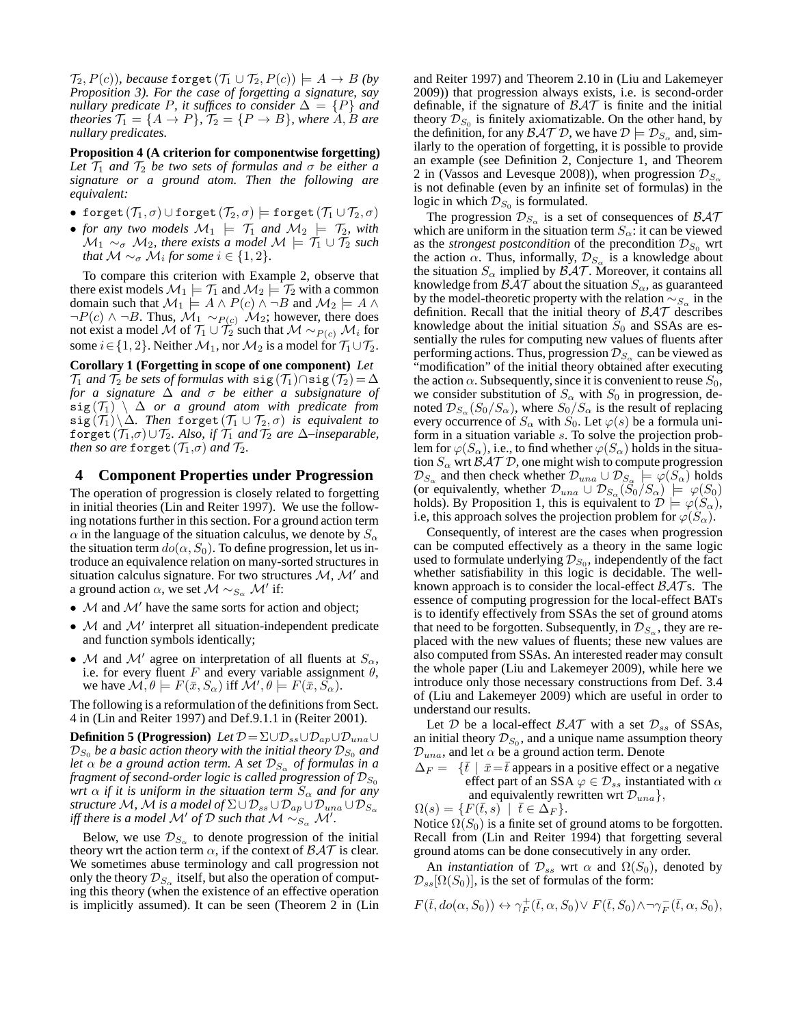$\mathcal{T}_2, P(c)$ *), because* forget  $(\mathcal{T}_1 \cup \mathcal{T}_2, P(c)) \models A \rightarrow B$  *(by Proposition 3). For the case of forgetting a signature, say nullary predicate* P, it suffices to consider  $\Delta = \{P\}$  and *theories*  $\mathcal{T}_1 = \{A \rightarrow P\}$ ,  $\mathcal{T}_2 = \{P \rightarrow B\}$ , where  $A, B$  are *nullary predicates.*

**Proposition 4 (A criterion for componentwise forgetting)** Let  $\mathcal{T}_1$  *and*  $\mathcal{T}_2$  *be two sets of formulas and*  $\sigma$  *be either a signature or a ground atom. Then the following are equivalent:*

- forget  $(\mathcal{T}_1,\sigma)\cup \texttt{forget}\,(\mathcal{T}_2,\sigma) \models \texttt{forget}\,(\mathcal{T}_1\cup \mathcal{T}_2,\sigma)$
- *for any two models*  $\mathcal{M}_1$   $\models$   $\mathcal{T}_1$  *and*  $\mathcal{M}_2$   $\models$   $\mathcal{T}_2$ *, with*  $\mathcal{M}_1 \sim_{\sigma} \mathcal{M}_2$ , there exists a model  $\mathcal{M} \models \mathcal{T}_1 \cup \mathcal{T}_2$  such *that*  $\mathcal{M} \sim_{\sigma} \mathcal{M}_i$  for some  $i \in \{1, 2\}.$

To compare this criterion with Example 2, observe that there exist models  $\mathcal{M}_1 \models \mathcal{T}_1$  and  $\mathcal{M}_2 \models \mathcal{T}_2$  with a common domain such that  $\mathcal{M}_1 \models A \land P(c) \land \neg B$  and  $\mathcal{M}_2 \models A \land \neg B$  $\neg P(c) \wedge \neg B$ . Thus,  $\mathcal{M}_1 \sim_{P(c)} \mathcal{M}_2$ ; however, there does not exist a model  ${\mathcal M}$  of  $\mathcal{T}_1\cup\mathcal{T}_2$  such that  ${\mathcal M}\sim_{P(c)}{\mathcal M}_i$  for some  $i \in \{1, 2\}$ . Neither  $\mathcal{M}_1$ , nor  $\mathcal{M}_2$  is a model for  $\mathcal{T}_1 \cup \mathcal{T}_2$ .

**Corollary 1 (Forgetting in scope of one component)** *Let*  $\mathcal{T}_1$  *and*  $\mathcal{T}_2$  *be sets of formulas with*  $\text{sig}(\mathcal{T}_1) \cap \text{sig}(\mathcal{T}_2) = \Delta$ *for a signature* ∆ *and* σ *be either a subsignature of*  $sig(T_1) \setminus \Delta$  *or a ground atom with predicate from*  $sig(T_1)\backslash \Delta$ . Then forget  $(T_1\cup T_2,\sigma)$  *is equivalent to* forget  $(\mathcal{T}_1,\sigma)\cup\mathcal{T}_2$ *. Also, if*  $\mathcal{T}_1$  *and*  $\mathcal{T}_2$  *are*  $\Delta$ *–inseparable, then so are* forget  $(\mathcal{T}_1,\sigma)$  *and*  $\mathcal{T}_2$ *.* 

# **4 Component Properties under Progression**

The operation of progression is closely related to forgetting in initial theories (Lin and Reiter 1997). We use the following notations further in this section. For a ground action term  $\alpha$  in the language of the situation calculus, we denote by  $S_{\alpha}$ the situation term  $do(\alpha, S_0)$ . To define progression, let us introduce an equivalence relation on many-sorted structures in situation calculus signature. For two structures  $M$ ,  $M'$  and a ground action  $\alpha$ , we set  $\mathcal{M} \sim_{S_{\alpha}} \mathcal{M}'$  if:

- $M$  and  $M'$  have the same sorts for action and object;
- $\bullet$  M and  $\mathcal{M}'$  interpret all situation-independent predicate and function symbols identically;
- M and M' agree on interpretation of all fluents at  $S_\alpha$ , i.e. for every fluent F and every variable assignment  $\theta$ , we have  $\mathcal{M}, \theta \models F(\bar{x}, S_{\alpha})$  iff  $\mathcal{M}', \theta \models F(\bar{x}, \tilde{S_{\alpha}})$ .

The following is a reformulation of the definitions from Sect. 4 in (Lin and Reiter 1997) and Def.9.1.1 in (Reiter 2001).

**Definition 5 (Progression)** Let  $\mathcal{D} = \Sigma \cup \mathcal{D}_{ss} \cup \mathcal{D}_{ap} \cup \mathcal{D}_{una} \cup$  $\mathcal{D}_{S_0}$  *be a basic action theory with the initial theory*  $\mathcal{D}_{S_0}$  *and let*  $\alpha$  *be a ground action term. A set*  $\mathcal{D}_{S_{\alpha}}$  *of formulas in a fragment of second-order logic is called progression of*  $\mathcal{D}_{S_0}$ *wrt*  $\alpha$  *if it is uniform in the situation term*  $S_{\alpha}$  *and for any structure M*, *M is a model of*  $\Sigma \cup \mathcal{D}_{ss} \cup \mathcal{D}_{ap} \cup \mathcal{D}_{una} \cup \mathcal{D}_{S_{\alpha}}$ *iff there is a model*  $\mathcal{M}'$  *of*  $\mathcal{D}$  *such that*  $\mathcal{M} \sim_{S_{\alpha}} \mathcal{M}'$ .

Below, we use  $\mathcal{D}_{S_{\alpha}}$  to denote progression of the initial theory wrt the action term  $\alpha$ , if the context of  $\beta \mathcal{A} \mathcal{T}$  is clear. We sometimes abuse terminology and call progression not only the theory  $\mathcal{D}_{S_\alpha}$  itself, but also the operation of computing this theory (when the existence of an effective operation is implicitly assumed). It can be seen (Theorem 2 in (Lin

and Reiter 1997) and Theorem 2.10 in (Liu and Lakemeyer 2009)) that progression always exists, i.e. is second-order definable, if the signature of  $\beta \mathcal{A} \mathcal{T}$  is finite and the initial theory  $\mathcal{D}_{S_0}$  is finitely axiomatizable. On the other hand, by the definition, for any  $\mathcal{BAT} \mathcal{D}$ , we have  $\mathcal{D} \models \mathcal{D}_{S_{\alpha}}$  and, similarly to the operation of forgetting, it is possible to provide an example (see Definition 2, Conjecture 1, and Theorem 2 in (Vassos and Levesque 2008)), when progression  $\mathcal{D}_{S_{\infty}}$ is not definable (even by an infinite set of formulas) in the logic in which  $\mathcal{D}_{S_0}$  is formulated.

The progression  $\mathcal{D}_{S_{\alpha}}$  is a set of consequences of  $\mathcal{B} \mathcal{A} \mathcal{T}$ which are uniform in the situation term  $S_{\alpha}$ : it can be viewed as the *strongest postcondition* of the precondition  $\mathcal{D}_{S_0}$  wrt the action  $\alpha$ . Thus, informally,  $\mathcal{D}_{S_{\alpha}}$  is a knowledge about the situation  $S_{\alpha}$  implied by  $\beta \mathcal{A} \mathcal{T}$ . Moreover, it contains all knowledge from  $\beta \mathcal{A} \mathcal{T}$  about the situation  $S_{\alpha}$ , as guaranteed by the model-theoretic property with the relation  $\sim_{S_\alpha}$  in the definition. Recall that the initial theory of  $\beta\mathcal{AT}$  describes knowledge about the initial situation  $S_0$  and SSAs are essentially the rules for computing new values of fluents after performing actions. Thus, progression  $\mathcal{D}_{S_{\alpha}}$  can be viewed as "modification" of the initial theory obtained after executing the action  $\alpha$ . Subsequently, since it is convenient to reuse  $S_0$ , we consider substitution of  $S_\alpha$  with  $S_0$  in progression, denoted  $\mathcal{D}_{S_{\alpha}}(S_0/S_{\alpha})$ , where  $S_0/S_{\alpha}$  is the result of replacing every occurrence of  $S_\alpha$  with  $S_0$ . Let  $\varphi(s)$  be a formula uniform in a situation variable s. To solve the projection problem for  $\varphi(S_\alpha)$ , i.e., to find whether  $\varphi(S_\alpha)$  holds in the situation  $S_\alpha$  wrt  $\beta \mathcal{A} \mathcal{T} \mathcal{D}$ , one might wish to compute progression  $\mathcal{D}_{S_\alpha}$  and then check whether  $\mathcal{D}_{una} \cup \mathcal{D}_{S_\alpha} \models \varphi(S_\alpha)$  holds (or equivalently, whether  $\mathcal{D}_{una} \cup \mathcal{D}_{S_{\alpha}}(S_0/S_{\alpha}) \models \varphi(S_0)$ holds). By Proposition 1, this is equivalent to  $\mathcal{D} \models \varphi(S_\alpha)$ , i.e, this approach solves the projection problem for  $\varphi(S_\alpha)$ .

Consequently, of interest are the cases when progression can be computed effectively as a theory in the same logic used to formulate underlying  $\mathcal{D}_{S_0}$ , independently of the fact whether satisfiability in this logic is decidable. The wellknown approach is to consider the local-effect  $\beta \mathcal{A} \mathcal{T}$  s. The essence of computing progression for the local-effect BATs is to identify effectively from SSAs the set of ground atoms that need to be forgotten. Subsequently, in  $\mathcal{D}_{S_\alpha}$ , they are replaced with the new values of fluents; these new values are also computed from SSAs. An interested reader may consult the whole paper (Liu and Lakemeyer 2009), while here we introduce only those necessary constructions from Def. 3.4 of (Liu and Lakemeyer 2009) which are useful in order to understand our results.

Let  $D$  be a local-effect  $\beta \mathcal{A} \mathcal{T}$  with a set  $\mathcal{D}_{ss}$  of SSAs, an initial theory  $\mathcal{D}_{S_0}$ , and a unique name assumption theory  $\mathcal{D}_{una}$ , and let  $\alpha$  be a ground action term. Denote

 $\Delta_F = \{\bar{t} \mid \bar{x} = \bar{t} \text{ appears in a positive effect or a negative}\}$ effect part of an SSA  $\varphi \in \mathcal{D}_{ss}$  instantiated with  $\alpha$ and equivalently rewritten wrt  $\mathcal{D}_{una}$ ,

$$
\Omega(s) = \{ F(\bar{t}, s) \mid \bar{t} \in \Delta_F \}.
$$

Notice  $\Omega(S_0)$  is a finite set of ground atoms to be forgotten. Recall from (Lin and Reiter 1994) that forgetting several ground atoms can be done consecutively in any order.

An *instantiation* of  $\mathcal{D}_{ss}$  wrt  $\alpha$  and  $\Omega(S_0)$ , denoted by  $\mathcal{D}_{ss}[\Omega(S_0)]$ , is the set of formulas of the form:

$$
F(\bar{t}, do(\alpha, S_0)) \leftrightarrow \gamma_F^+(\bar{t}, \alpha, S_0) \vee F(\bar{t}, S_0) \wedge \neg \gamma_F^-(\bar{t}, \alpha, S_0),
$$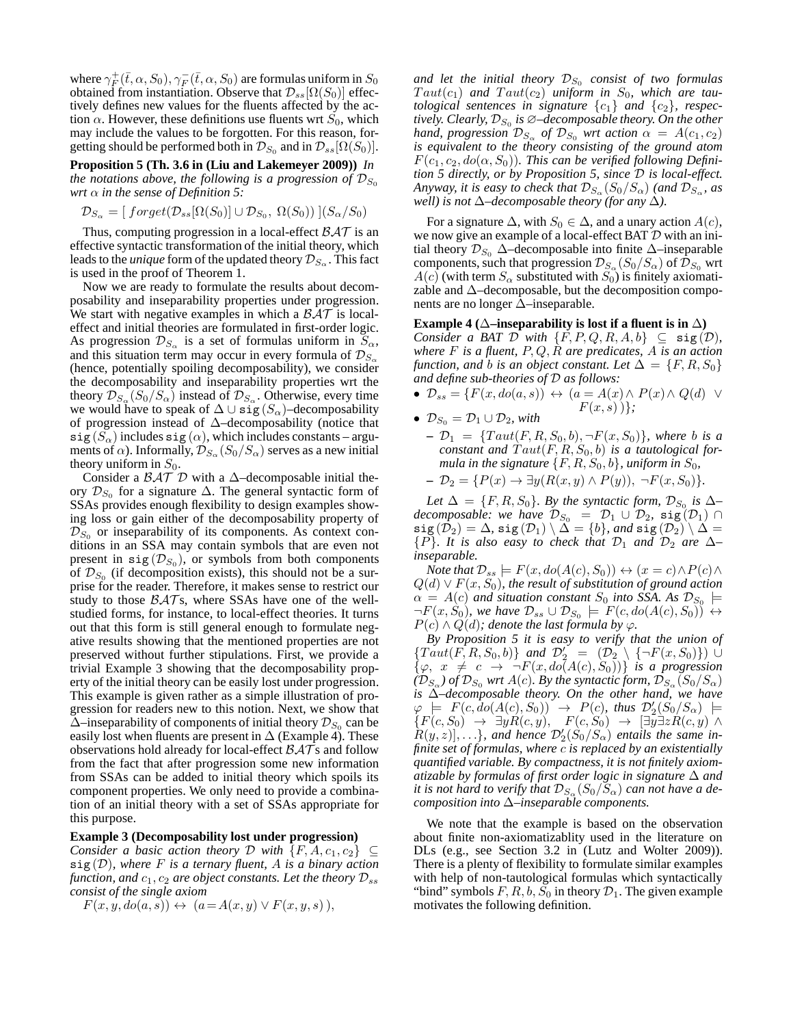where  $\gamma_F^+ (\bar{t}, \alpha, S_0), \gamma_F^- (\bar{t}, \alpha, S_0)$  are formulas uniform in  $S_0$ obtained from instantiation. Observe that  $\mathcal{D}_{ss}[\Omega(S_0)]$  effectively defines new values for the fluents affected by the action  $\alpha$ . However, these definitions use fluents wrt  $\dot{S}_0$ , which may include the values to be forgotten. For this reason, forgetting should be performed both in  $\mathcal{D}_{S_0}$  and in  $\mathcal{D}_{ss}[\Omega(S_0)].$ 

**Proposition 5 (Th. 3.6 in (Liu and Lakemeyer 2009))** *In the notations above, the following is a progression of*  $\mathcal{D}_{S_0}$ *wrt* α *in the sense of Definition 5:*

$$
\mathcal{D}_{S_{\alpha}} = [\text{forget}(\mathcal{D}_{ss}[\Omega(S_0)] \cup \mathcal{D}_{S_0}, \ \Omega(S_0))\ ](S_{\alpha}/S_0)
$$

Thus, computing progression in a local-effect  $\beta \mathcal{A} \mathcal{T}$  is an effective syntactic transformation of the initial theory, which leads to the *unique* form of the updated theory  $\mathcal{D}_{S_\alpha}$ . This fact is used in the proof of Theorem 1.

Now we are ready to formulate the results about decomposability and inseparability properties under progression. We start with negative examples in which a  $\beta \mathcal{A} \mathcal{T}$  is localeffect and initial theories are formulated in first-order logic. As progression  $\mathcal{D}_{S_\alpha}$  is a set of formulas uniform in  $S_\alpha$ , and this situation term may occur in every formula of  $\mathcal{D}_{S_{\alpha}}$ (hence, potentially spoiling decomposability), we consider the decomposability and inseparability properties wrt the theory  $\mathcal{D}_{S_{\alpha}}(S_0/S_{\alpha})$  instead of  $\mathcal{D}_{S_{\alpha}}$ . Otherwise, every time we would have to speak of  $\Delta \cup$  sig  $(S_\alpha)$ –decomposability of progression instead of ∆–decomposability (notice that  $\textsf{sig}(S_\alpha)$  includes  $\textsf{sig}(\alpha)$ , which includes constants – arguments of  $\alpha$ ). Informally,  $\mathcal{D}_{S_{\alpha}}(S_0/S_{\alpha})$  serves as a new initial theory uniform in  $S_0$ .

Consider a  $\beta \mathcal{A} \mathcal{T} \mathcal{D}$  with a  $\Delta$ –decomposable initial theory  $\mathcal{D}_{S_0}$  for a signature  $\Delta$ . The general syntactic form of SSAs provides enough flexibility to design examples showing loss or gain either of the decomposability property of  $\mathcal{D}_{S_0}$  or inseparability of its components. As context conditions in an SSA may contain symbols that are even not present in  $sig(\mathcal{D}_{S_0})$ , or symbols from both components of  $\mathcal{D}_{S_0}$  (if decomposition exists), this should not be a surprise for the reader. Therefore, it makes sense to restrict our study to those  $\beta \mathcal{A} \mathcal{T}$ s, where SSAs have one of the wellstudied forms, for instance, to local-effect theories. It turns out that this form is still general enough to formulate negative results showing that the mentioned properties are not preserved without further stipulations. First, we provide a trivial Example 3 showing that the decomposability property of the initial theory can be easily lost under progression. This example is given rather as a simple illustration of progression for readers new to this notion. Next, we show that  $\Delta$ –inseparability of components of initial theory  $\mathcal{D}_{S_0}$  can be easily lost when fluents are present in  $\Delta$  (Example 4). These observations hold already for local-effect  $\beta \mathcal{A} \bar{\mathcal{T}}$ s and follow from the fact that after progression some new information from SSAs can be added to initial theory which spoils its component properties. We only need to provide a combination of an initial theory with a set of SSAs appropriate for this purpose.

#### **Example 3 (Decomposability lost under progression)**

*Consider a basic action theory* D *with*  $\{F, A, c_1, c_2\} \subset$ sig (D)*, where* F *is a ternary fluent,* A *is a binary action function, and*  $c_1$ ,  $c_2$  *are object constants. Let the theory*  $\mathcal{D}_{ss}$ *consist of the single axiom*

 $F(x, y, do(a, s)) \leftrightarrow (a = A(x, y) \vee F(x, y, s)),$ 

and let the initial theory  $\mathcal{D}_{S_0}$  consist of two formulas  $Taut(c_1)$  and  $Taut(c_2)$  uniform in  $S_0$ , which are tau*tological sentences in signature*  $\{c_1\}$  *and*  $\{c_2\}$ *, respectively. Clearly, D<sub>So</sub> is ∅–decomposable theory. On the other hand, progression*  $\mathcal{D}_{S_\alpha}$  *of*  $\mathcal{D}_{S_0}$  *wrt action*  $\alpha = A(c_1, c_2)$ *is equivalent to the theory consisting of the ground atom*  $F(c_1, c_2, do(\alpha, S_0))$ . This can be verified following Defini*tion 5 directly, or by Proposition 5, since* D *is local-effect.* Anyway, it is easy to check that  $\mathcal{D}_{S_\alpha}(S_0/S_\alpha)$  (and  $\mathcal{D}_{S_\alpha}$ , as *well) is not* ∆*–decomposable theory (for any* ∆*).*

For a signature  $\Delta$ , with  $S_0 \in \Delta$ , and a unary action  $A(c)$ , we now give an example of a local-effect BAT  $D$  with an initial theory  $\mathcal{D}_{S_0}$   $\Delta$ –decomposable into finite  $\Delta$ –inseparable components, such that progression  $\mathcal{D}_{S_\alpha}(S_0/S_\alpha)$  of  $\mathcal{D}_{S_0}$  wrt  $A(c)$  (with term  $S_\alpha$  substituted with  $S_0$ ) is finitely axiomatizable and ∆–decomposable, but the decomposition components are no longer ∆–inseparable.

#### **Example 4** ( $\Delta$ –inseparability is lost if a fluent is in  $\Delta$ )

*Consider a BAT*  $D$  *with*  $\{F, P, Q, R, A, b\} \subseteq \text{sig}(D)$ *, where* F *is a fluent,* P, Q, R *are predicates,* A *is an action function, and b is an object constant. Let*  $\Delta = \{F, R, S_0\}$ *and define sub-theories of* D *as follows:*

- $\mathcal{D}_{ss} = \{F(x, do(a, s)) \leftrightarrow (a = A(x) \land P(x) \land Q(d) \lor Q(a, s))\}$  $F(x, s)$  }*}*;
- $\mathcal{D}_{S_0} = \mathcal{D}_1 \cup \mathcal{D}_2$ *, with* 
	- $\mathcal{D}_1 = \{ Taut(F, R, S_0, b), \neg F(x, S_0) \}$ *, where b is a constant and*  $Taut(F, R, S_0, b)$  *is a tautological formula in the signature*  $\{F, R, S_0, b\}$ *, uniform in*  $S_0$ *,*
	- **–**  $\mathcal{D}_2 = \{P(x) \to \exists y (R(x, y) \land P(y)), \neg F(x, S_0)\}.$

Let  $\Delta = \{F, R, S_0\}$ . By the syntactic form,  $\mathcal{D}_{S_0}$  is  $\Delta$ – *decomposable: we have*  $\mathcal{D}_{S_0} = \mathcal{D}_1 \cup \mathcal{D}_2$ ,  $sig(\mathcal{D}_1) \cap$  $\texttt{sig}\,(\hat{\mathcal{D}}_2) = \Delta$ ,  $\texttt{sig}\,(\mathcal{D}_1) \setminus \tilde{\Delta} = \{b\}$ , and  $\texttt{sig}\,(\mathcal{D}_2) \setminus \Delta =$  ${P}$ *. It is also easy to check that*  $D_1$  *and*  $D_2$  *are*  $\Delta$ *– inseparable.*

*Note that*  $\mathcal{D}_{ss}$   $\models$   $F(x, do(A(c), S_0)) \leftrightarrow (x = c) \land P(c) \land$  $Q(d) \vee F(x, S_0)$ , the result of substitution of ground action  $\alpha$  = A(c) and situation constant  $S_0$  into SSA. As  $\mathcal{D}_{S_0}$   $\models$  $\neg F(x, S_0)$ , we have  $\mathcal{D}_{ss} \cup \mathcal{D}_{S_0} \models F(c, do(A(c), S_0)) \leftrightarrow$  $P(c) \wedge Q(d)$ ; denote the last formula by  $\varphi$ .

*By Proposition 5 it is easy to verify that the union of*  $\{Taut(F, R, S_0, b)\}\$ and  $\mathcal{D}'_2 = (\mathcal{D}_2) \setminus \{\neg F(x, S_0)\})$  U  $\{\varphi, x \neq c \rightarrow \neg F(x, do(A(c), S_0))\}$  *is a progression*  $(\mathcal{D}_{S_{\alpha}})$  of  $\mathcal{D}_{S_0}$  wrt  $A(c)$ *. By the syntactic form,*  $\mathcal{D}_{S_{\alpha}}(S_0/S_{\alpha})$ *is* ∆*–decomposable theory. On the other hand, we have*  $\varphi \models F(c, do(A(c), S_0)) \rightarrow P(c), \text{ thus } \mathcal{D}'_2(S_0/S_\alpha) \models$  ${F(c, S_0) \rightarrow \exists y R(c, y), F(c, S_0) \rightarrow [\exists y \exists z R(c, y) \land$  $R(y, z)$ ], ... }*, and hence*  $\mathcal{D}'_2(\dot{S}_0/S_\alpha)$  *entails the same infinite set of formulas, where* c *is replaced by an existentially quantified variable. By compactness, it is not finitely axiomatizable by formulas of first order logic in signature* ∆ *and* it is not hard to verify that  $\mathcal{D}_{S_\alpha}(S_0/S_\alpha)$  can not have a de*composition into* ∆*–inseparable components.*

We note that the example is based on the observation about finite non-axiomatizablity used in the literature on DLs (e.g., see Section 3.2 in (Lutz and Wolter 2009)). There is a plenty of flexibility to formulate similar examples with help of non-tautological formulas which syntactically "bind" symbols  $F, R, b, S_0$  in theory  $\mathcal{D}_1$ . The given example motivates the following definition.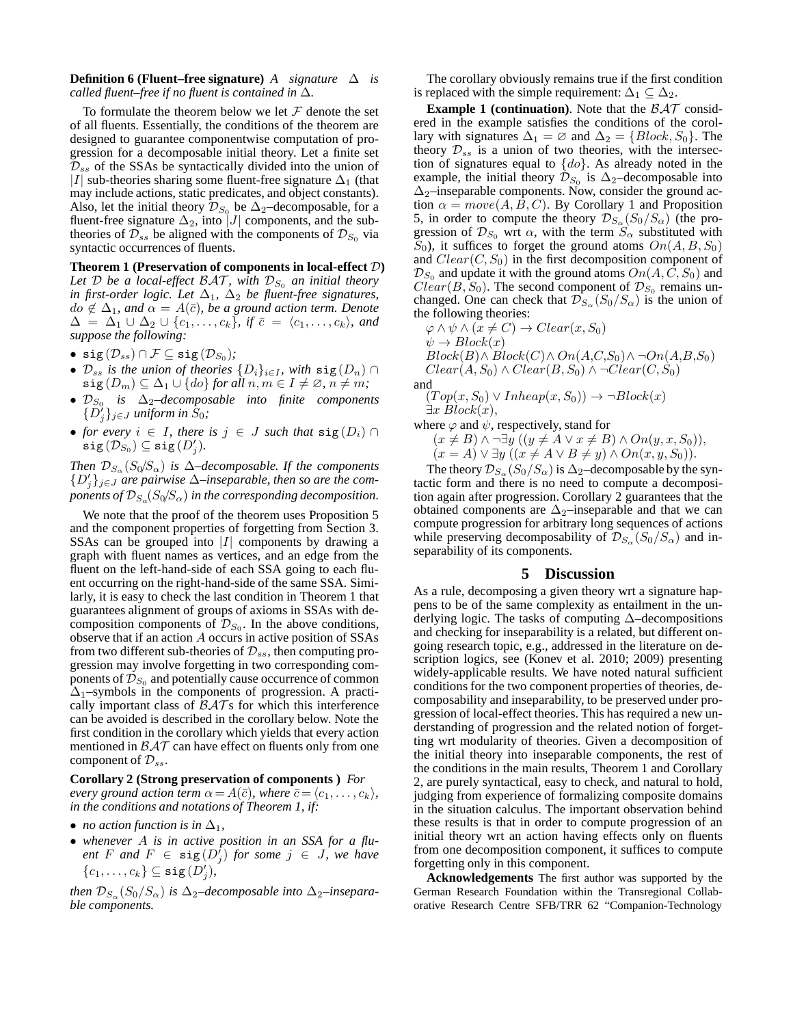### **Definition 6 (Fluent–free signature)** *A* signature  $\Delta$  is *called fluent–free if no fluent is contained in* ∆*.*

To formulate the theorem below we let  $\mathcal F$  denote the set of all fluents. Essentially, the conditions of the theorem are designed to guarantee componentwise computation of progression for a decomposable initial theory. Let a finite set  $\mathcal{D}_{ss}$  of the SSAs be syntactically divided into the union of |I| sub-theories sharing some fluent-free signature  $\Delta_1$  (that may include actions, static predicates, and object constants). Also, let the initial theory  $\mathcal{D}_{S_0}$  be  $\Delta_2$ –decomposable, for a fluent-free signature  $\Delta_2$ , into |J| components, and the subtheories of  $\mathcal{D}_{ss}$  be aligned with the components of  $\mathcal{D}_{S_0}$  via syntactic occurrences of fluents.

**Theorem 1 (Preservation of components in local-effect** D**)** Let D be a local-effect  $\beta \mathcal{A} \mathcal{T}$ *, with*  $\mathcal{D}_{S_0}$  *an initial theory in first-order logic. Let*  $\Delta_1$ ,  $\Delta_2$  *be fluent-free signatures,*  $do \notin \Delta_1$ , and  $\alpha = A(\overline{c})$ , be a ground action term. Denote  $\Delta = \Delta_1 \cup \Delta_2 \cup \{c_1, \ldots, c_k\}, \text{ if } \bar{c} = \langle c_1, \ldots, c_k \rangle, \text{ and }$ *suppose the following:*

- $\bullet \ \texttt{sig}(\mathcal{D}_{ss}) \cap \mathcal{F} \subseteq \texttt{sig}(\mathcal{D}_{S_0}) \text{;}$
- $\mathcal{D}_{ss}$  *is the union of theories*  $\{D_i\}_{i\in I}$ *, with*  $sig(D_n)$  ∩  $\text{sig}(D_m) \subseteq \Delta_1 \cup \{do\}$  *for all*  $n, m \in I \neq \emptyset, n \neq m$ *;*
- $\mathcal{D}_{S_0}$  *is* ∆<sub>2</sub>–decomposable into finite components  $\{\widetilde{D}'_j\}_{j\in J}$  uniform in  $S_0$ ;
- *for every*  $i \in I$ *, there is*  $j \in J$  *such that*  $sig(D_i) \cap I$  $\mathop{\mathrm{sig}}\nolimits\left(\mathcal{D}^{(j)}_{S_0}\right) \subseteq \mathop{\mathrm{sig}}\nolimits\left(D'_j\right).$

*Then*  $\mathcal{D}_{S_{\alpha}}(S_0/S_{\alpha})$  *is*  $\Delta$ *–decomposable. If the components* {D′ j }j∈<sup>J</sup> *are pairwise* ∆*–inseparable, then so are the com*ponents of  $\mathcal{D}_{S_\alpha}\!\!\left( S_0\!/\!S_\alpha \right)$  in the corresponding decomposition.

We note that the proof of the theorem uses Proposition 5 and the component properties of forgetting from Section 3. SSAs can be grouped into  $|I|$  components by drawing a graph with fluent names as vertices, and an edge from the fluent on the left-hand-side of each SSA going to each fluent occurring on the right-hand-side of the same SSA. Similarly, it is easy to check the last condition in Theorem 1 that guarantees alignment of groups of axioms in SSAs with decomposition components of  $\mathcal{D}_{S_0}$ . In the above conditions, observe that if an action A occurs in active position of SSAs from two different sub-theories of  $\mathcal{D}_{ss}$ , then computing progression may involve forgetting in two corresponding components of  $\mathcal{D}_{S_0}$  and potentially cause occurrence of common  $\Delta_1$ –symbols in the components of progression. A practically important class of  $\beta \mathcal{A} \mathcal{T}$ s for which this interference can be avoided is described in the corollary below. Note the first condition in the corollary which yields that every action mentioned in  $\beta \mathcal{A} \mathcal{T}$  can have effect on fluents only from one component of  $\mathcal{D}_{ss}$ .

#### **Corollary 2 (Strong preservation of components )** *For every ground action term*  $\alpha = A(\bar{c})$ *, where*  $\bar{c} = \langle c_1, \ldots, c_k \rangle$ *, in the conditions and notations of Theorem 1, if:*

- *no action function is in*  $\Delta_1$ *,*
- *whenever* A *is in active position in an SSA for a flu* $ent \, F \, and \, F \, \in \, \texttt{sig}(D_j^t) \, for \, some \, j \, \in \, J, \, we \, have$  ${c_1, \ldots, c_k} \subseteq \mathtt{sig}(D'_j)$ ,

*then*  $\mathcal{D}_{S_{\alpha}}(S_0/S_{\alpha})$  *is*  $\Delta_2$ –*decomposable into*  $\Delta_2$ –*inseparable components.*

The corollary obviously remains true if the first condition is replaced with the simple requirement:  $\Delta_1 \subseteq \Delta_2$ .

**Example 1 (continuation).** Note that the  $BAT$  considered in the example satisfies the conditions of the corollary with signatures  $\Delta_1 = \emptyset$  and  $\Delta_2 = \{Block, S_0\}$ . The theory  $\mathcal{D}_{ss}$  is a union of two theories, with the intersection of signatures equal to  $\{do\}$ . As already noted in the example, the initial theory  $\mathcal{D}_{S_0}$  is  $\Delta_2$ –decomposable into  $\Delta_2$ –inseparable components. Now, consider the ground action  $\alpha = move(A, B, C)$ . By Corollary 1 and Proposition 5, in order to compute the theory  $\mathcal{D}_{S_{\alpha}}(S_0/S_{\alpha})$  (the progression of  $\mathcal{D}_{S_0}$  wrt  $\alpha$ , with the term  $S_\alpha$  substituted with  $S_0$ , it suffices to forget the ground atoms  $On(A, B, S_0)$ and  $Clear(C, S_0)$  in the first decomposition component of  $\mathcal{D}_{S_0}$  and update it with the ground atoms  $On(A, C, S_0)$  and  $Clear(B, S_0)$ . The second component of  $\mathcal{D}_{S_0}$  remains unchanged. One can check that  $\mathcal{D}_{S_{\alpha}}(S_0/S_{\alpha})$  is the union of the following theories:

$$
\varphi \land \psi \land (\bar{x} \neq C) \rightarrow Clear(x, S_0)
$$
  
\n
$$
\psi \to Block(x)
$$
  
\n
$$
Block(B) \land Block(C) \land On(A, C, S_0) \land \neg On(A, B, S_0)
$$
  
\n
$$
Clear(A, S_0) \land Clear(B, S_0) \land \neg Clear(C, S_0)
$$
  
\nand

$$
(Top(x, S_0) \lor Inheap(x, S_0)) \rightarrow \neg Block(x)
$$
  

$$
\exists x \ Block(x),
$$

where  $\varphi$  and  $\psi$ , respectively, stand for

 $(x \neq B) \land \neg \exists y ((y \neq A \lor x \neq B) \land On(y, x, S_0)),$  $(x = A) \vee \exists y \ ((x \neq A \vee B \neq y) \wedge On(x, y, S_0)).$ 

The theory  $\mathcal{D}_{S_{\alpha}}(S_0/S_{\alpha})$  is  $\Delta_2$ –decomposable by the syntactic form and there is no need to compute a decomposition again after progression. Corollary 2 guarantees that the obtained components are  $\Delta_2$ –inseparable and that we can compute progression for arbitrary long sequences of actions while preserving decomposability of  $\mathcal{D}_{S_{\alpha}}(S_0/S_{\alpha})$  and inseparability of its components.

# **5 Discussion**

As a rule, decomposing a given theory wrt a signature happens to be of the same complexity as entailment in the underlying logic. The tasks of computing ∆–decompositions and checking for inseparability is a related, but different ongoing research topic, e.g., addressed in the literature on description logics, see (Konev et al. 2010; 2009) presenting widely-applicable results. We have noted natural sufficient conditions for the two component properties of theories, decomposability and inseparability, to be preserved under progression of local-effect theories. This has required a new understanding of progression and the related notion of forgetting wrt modularity of theories. Given a decomposition of the initial theory into inseparable components, the rest of the conditions in the main results, Theorem 1 and Corollary 2, are purely syntactical, easy to check, and natural to hold, judging from experience of formalizing composite domains in the situation calculus. The important observation behind these results is that in order to compute progression of an initial theory wrt an action having effects only on fluents from one decomposition component, it suffices to compute forgetting only in this component.

**Acknowledgements** The first author was supported by the German Research Foundation within the Transregional Collaborative Research Centre SFB/TRR 62 "Companion-Technology